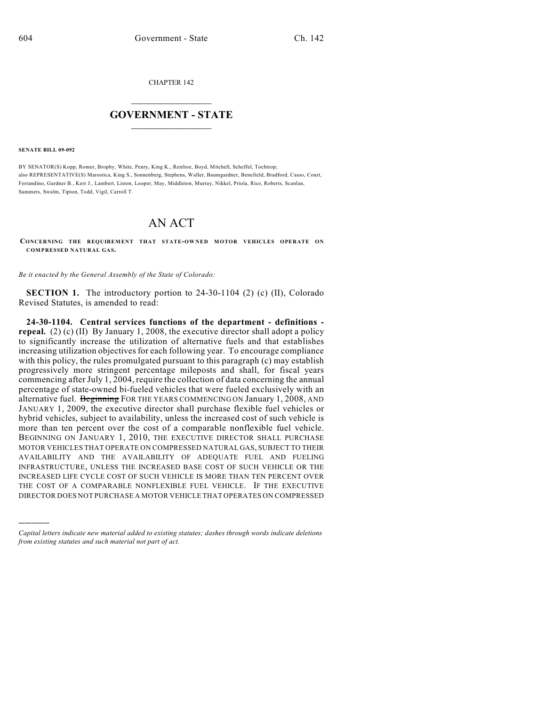CHAPTER 142

## $\overline{\phantom{a}}$  . The set of the set of the set of the set of the set of the set of the set of the set of the set of the set of the set of the set of the set of the set of the set of the set of the set of the set of the set o **GOVERNMENT - STATE**  $\_$

**SENATE BILL 09-092**

)))))

BY SENATOR(S) Kopp, Romer, Brophy, White, Penry, King K., Renfroe, Boyd, Mitchell, Scheffel, Tochtrop; also REPRESENTATIVE(S) Marostica, King S., Sonnenberg, Stephens, Waller, Baumgardner, Benefield, Bradford, Casso, Court, Ferrandino, Gardner B., Kerr J., Lambert, Liston, Looper, May, Middleton, Murray, Nikkel, Priola, Rice, Roberts, Scanlan, Summers, Swalm, Tipton, Todd, Vigil, Carroll T.

## AN ACT

**CONCERNING THE REQUIREMENT THAT STATE-OW NED MOTOR VEHICLES OPERATE ON COMPRESSED NATURAL GAS.**

*Be it enacted by the General Assembly of the State of Colorado:*

**SECTION 1.** The introductory portion to 24-30-1104 (2) (c) (II), Colorado Revised Statutes, is amended to read:

**24-30-1104. Central services functions of the department - definitions repeal.** (2) (c) (II) By January 1, 2008, the executive director shall adopt a policy to significantly increase the utilization of alternative fuels and that establishes increasing utilization objectives for each following year. To encourage compliance with this policy, the rules promulgated pursuant to this paragraph (c) may establish progressively more stringent percentage mileposts and shall, for fiscal years commencing after July 1, 2004, require the collection of data concerning the annual percentage of state-owned bi-fueled vehicles that were fueled exclusively with an alternative fuel. Beginning FOR THE YEARS COMMENCING ON January 1, 2008, AND JANUARY 1, 2009, the executive director shall purchase flexible fuel vehicles or hybrid vehicles, subject to availability, unless the increased cost of such vehicle is more than ten percent over the cost of a comparable nonflexible fuel vehicle. BEGINNING ON JANUARY 1, 2010, THE EXECUTIVE DIRECTOR SHALL PURCHASE MOTOR VEHICLES THAT OPERATE ON COMPRESSED NATURAL GAS, SUBJECT TO THEIR AVAILABILITY AND THE AVAILABILITY OF ADEQUATE FUEL AND FUELING INFRASTRUCTURE, UNLESS THE INCREASED BASE COST OF SUCH VEHICLE OR THE INCREASED LIFE CYCLE COST OF SUCH VEHICLE IS MORE THAN TEN PERCENT OVER THE COST OF A COMPARABLE NONFLEXIBLE FUEL VEHICLE. IF THE EXECUTIVE DIRECTOR DOES NOT PURCHASE A MOTOR VEHICLE THAT OPERATES ON COMPRESSED

*Capital letters indicate new material added to existing statutes; dashes through words indicate deletions from existing statutes and such material not part of act.*